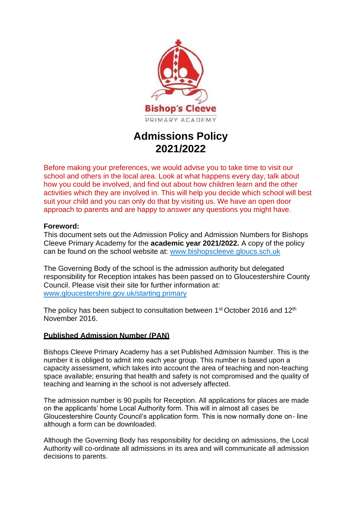

# **Admissions Policy 2021/2022**

Before making your preferences, we would advise you to take time to visit our school and others in the local area. Look at what happens every day, talk about how you could be involved, and find out about how children learn and the other activities which they are involved in. This will help you decide which school will best suit your child and you can only do that by visiting us. We have an open door approach to parents and are happy to answer any questions you might have.

# **Foreword:**

This document sets out the Admission Policy and Admission Numbers for Bishops Cleeve Primary Academy for the **academic year 2021/2022.** A copy of the policy can be found on the school website at: [www.bishopscleeve.gloucs.sch.uk](http://www.bishopscleeve.gloucs.sch.uk/)

The Governing Body of the school is the admission authority but delegated responsibility for Reception intakes has been passed on to Gloucestershire County Council. Please visit their site for further information at: [www.gloucestershire.gov.uk/starting primary](http://www.gloucestershire.gov.uk/startingprimary)

The policy has been subject to consultation between 1<sup>st</sup> October 2016 and 12<sup>th</sup> November 2016.

# **Published Admission Number (PAN)**

Bishops Cleeve Primary Academy has a set Published Admission Number. This is the number it is obliged to admit into each year group. This number is based upon a capacity assessment, which takes into account the area of teaching and non-teaching space available; ensuring that health and safety is not compromised and the quality of teaching and learning in the school is not adversely affected.

The admission number is 90 pupils for Reception. All applications for places are made on the applicants' home Local Authority form. This will in almost all cases be Gloucestershire County Council's application form. This is now normally done on- line although a form can be downloaded.

Although the Governing Body has responsibility for deciding on admissions, the Local Authority will co-ordinate all admissions in its area and will communicate all admission decisions to parents.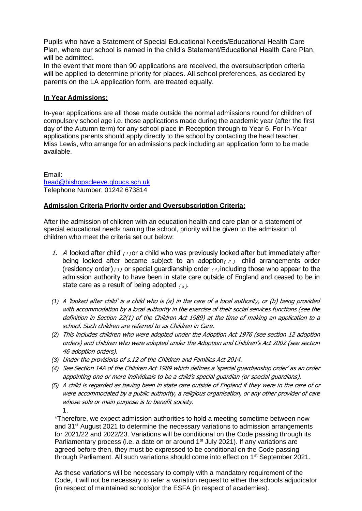Pupils who have a Statement of Special Educational Needs/Educational Health Care Plan, where our school is named in the child's Statement/Educational Health Care Plan, will be admitted.

In the event that more than 90 applications are received, the oversubscription criteria will be applied to determine priority for places. All school preferences, as declared by parents on the LA application form, are treated equally.

## **In Year Admissions:**

In-year applications are all those made outside the normal admissions round for children of compulsory school age i.e. those applications made during the academic year (after the first day of the Autumn term) for any school place in Reception through to Year 6. For In-Year applications parents should apply directly to the school by contacting the head teacher, Miss Lewis, who arrange for an admissions pack including an application form to be made available.

Email: [head@bishopscleeve.gloucs.sch.uk](mailto:head@bishopscleeve.gloucs.sch.uk) Telephone Number: 01242 673814

### **Admission Criteria Priority order and Oversubscription Criteria:**

After the admission of children with an education health and care plan or a statement of special educational needs naming the school, priority will be given to the admission of children who meet the criteria set out below:

- 1. A looked after child'  $(1)$  or a child who was previously looked after but immediately after being looked after became subject to an adoption  $(z)$  child arrangements order (residency order)( $3$ ) or special guardianship order ( $4$ ) including those who appear to the admission authority to have been in state care outside of England and ceased to be in state care as a result of being adopted  $(5)$ .
- *(1)* A 'looked after child' is a child who is (a) in the care of a local authority, or (b) being provided with accommodation by a local authority in the exercise of their social services functions (see the definition in Section 22(1) of the Children Act 1989) at the time of making an application to a school. Such children are referred to as Children in Care.
- *(2)* This includes children who were adopted under the Adoption Act 1976 (see section 12 adoption orders) and children who were adopted under the Adoption and Children's Act 2002 (see section 46 adoption orders).
- *(3)* Under the provisions of s.12 of the Children and Families Act 2014.
- *(4)* See Section 14A of the Children Act 1989 which defines a 'special guardianship order' as an order appointing one or more individuals to be a child's special guardian (or special guardians).
- *(5)* A child is regarded as having been in state care outside of England if they were in the care of or were accommodated by a public authority, a religious organisation, or any other provider of care whose sole or main purpose is to benefit society. 1.

\*Therefore, we expect admission authorities to hold a meeting sometime between now and 31<sup>st</sup> August 2021 to determine the necessary variations to admission arrangements for 2021/22 and 2022/23. Variations will be conditional on the Code passing through its Parliamentary process (i.e. a date on or around  $1<sup>st</sup>$  July 2021). If any variations are agreed before then, they must be expressed to be conditional on the Code passing through Parliament. All such variations should come into effect on 1<sup>st</sup> September 2021.

As these variations will be necessary to comply with a mandatory requirement of the Code, it will not be necessary to refer a variation request to either the schools adjudicator (in respect of maintained schools)or the ESFA (in respect of academies).